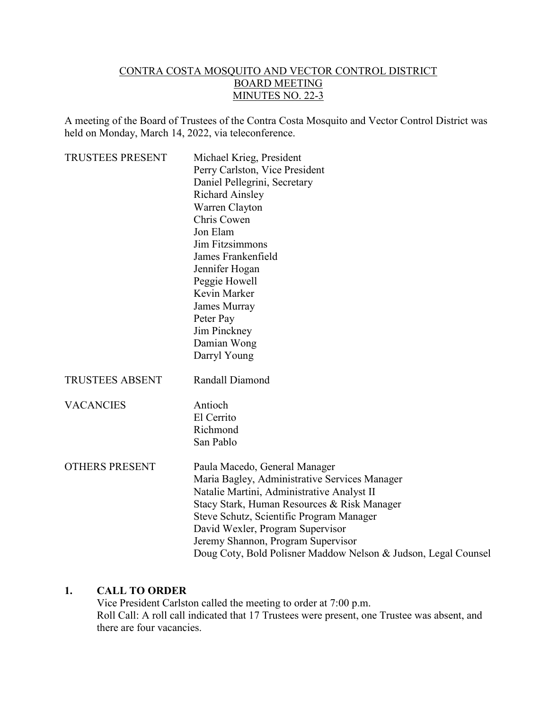#### CONTRA COSTA MOSQUITO AND VECTOR CONTROL DISTRICT BOARD MEETING MINUTES NO. 22-3

A meeting of the Board of Trustees of the Contra Costa Mosquito and Vector Control District was held on Monday, March 14, 2022, via teleconference.

| <b>TRUSTEES PRESENT</b> | Michael Krieg, President                                       |
|-------------------------|----------------------------------------------------------------|
|                         | Perry Carlston, Vice President                                 |
|                         | Daniel Pellegrini, Secretary                                   |
|                         | <b>Richard Ainsley</b>                                         |
|                         | Warren Clayton                                                 |
|                         | Chris Cowen                                                    |
|                         | Jon Elam                                                       |
|                         | <b>Jim Fitzsimmons</b>                                         |
|                         | James Frankenfield                                             |
|                         | Jennifer Hogan                                                 |
|                         | Peggie Howell                                                  |
|                         | Kevin Marker                                                   |
|                         | James Murray                                                   |
|                         | Peter Pay                                                      |
|                         | Jim Pinckney                                                   |
|                         | Damian Wong                                                    |
|                         | Darryl Young                                                   |
| <b>TRUSTEES ABSENT</b>  | Randall Diamond                                                |
| <b>VACANCIES</b>        | Antioch                                                        |
|                         | El Cerrito                                                     |
|                         | Richmond                                                       |
|                         | San Pablo                                                      |
| <b>OTHERS PRESENT</b>   | Paula Macedo, General Manager                                  |
|                         | Maria Bagley, Administrative Services Manager                  |
|                         | Natalie Martini, Administrative Analyst II                     |
|                         | Stacy Stark, Human Resources & Risk Manager                    |
|                         | Steve Schutz, Scientific Program Manager                       |
|                         | David Wexler, Program Supervisor                               |
|                         | Jeremy Shannon, Program Supervisor                             |
|                         | Doug Coty, Bold Polisner Maddow Nelson & Judson, Legal Counsel |

#### **1. CALL TO ORDER**

Vice President Carlston called the meeting to order at 7:00 p.m. Roll Call: A roll call indicated that 17 Trustees were present, one Trustee was absent, and there are four vacancies.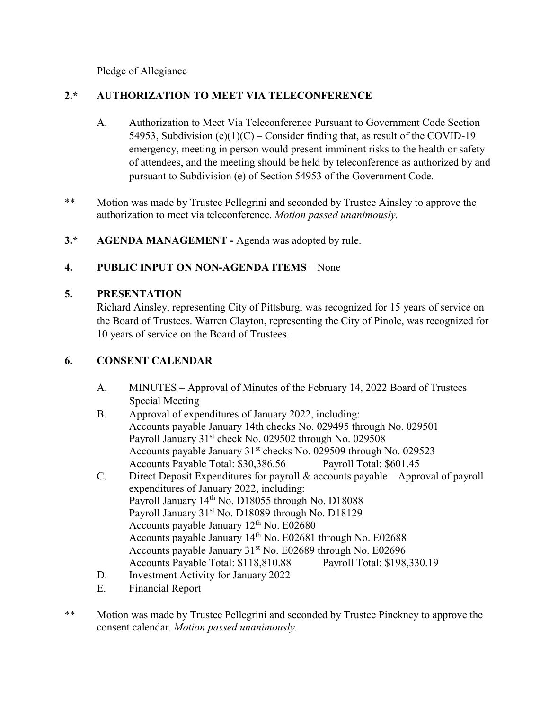Pledge of Allegiance

## **2.\* AUTHORIZATION TO MEET VIA TELECONFERENCE**

- A. Authorization to Meet Via Teleconference Pursuant to Government Code Section 54953, Subdivision (e)(1)(C) – Consider finding that, as result of the COVID-19 emergency, meeting in person would present imminent risks to the health or safety of attendees, and the meeting should be held by teleconference as authorized by and pursuant to Subdivision (e) of Section 54953 of the Government Code.
- \*\* Motion was made by Trustee Pellegrini and seconded by Trustee Ainsley to approve the authorization to meet via teleconference. *Motion passed unanimously.*
- **3.\*** AGENDA MANAGEMENT Agenda was adopted by rule.

# **4. PUBLIC INPUT ON NON-AGENDA ITEMS** – None

# **5. PRESENTATION**

Richard Ainsley, representing City of Pittsburg, was recognized for 15 years of service on the Board of Trustees. Warren Clayton, representing the City of Pinole, was recognized for 10 years of service on the Board of Trustees.

## **6. CONSENT CALENDAR**

- A. MINUTES Approval of Minutes of the February 14, 2022 Board of Trustees Special Meeting
- B. Approval of expenditures of January 2022, including: Accounts payable January 14th checks No. 029495 through No. 029501 Payroll January 31<sup>st</sup> check No. 029502 through No. 029508 Accounts payable January 31<sup>st</sup> checks No. 029509 through No. 029523 Accounts Payable Total: \$30,386.56 Payroll Total: \$601.45
- C. Direct Deposit Expenditures for payroll & accounts payable Approval of payroll expenditures of January 2022, including: Payroll January 14<sup>th</sup> No. D18055 through No. D18088 Payroll January 31<sup>st</sup> No. D18089 through No. D18129 Accounts payable January 12<sup>th</sup> No. E02680 Accounts payable January  $14<sup>th</sup>$  No. E02681 through No. E02688 Accounts payable January  $31<sup>st</sup>$  No. E02689 through No. E02696 Accounts Payable Total: \$118,810.88 Payroll Total: \$198,330.19
- D. Investment Activity for January 2022
- E. Financial Report
- \*\* Motion was made by Trustee Pellegrini and seconded by Trustee Pinckney to approve the consent calendar. *Motion passed unanimously.*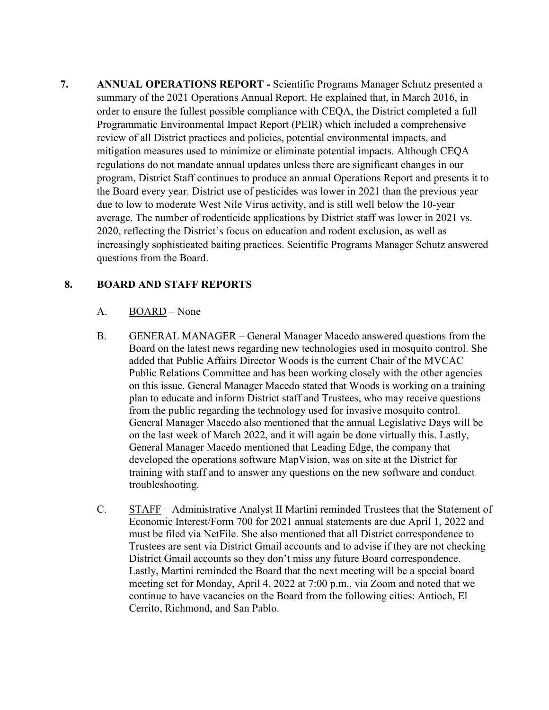**7. ANNUAL OPERATIONS REPORT -** Scientific Programs Manager Schutz presented a summary of the 2021 Operations Annual Report. He explained that, in March 2016, in order to ensure the fullest possible compliance with CEQA, the District completed a full Programmatic Environmental Impact Report (PEIR) which included a comprehensive review of all District practices and policies, potential environmental impacts, and mitigation measures used to minimize or eliminate potential impacts. Although CEQA regulations do not mandate annual updates unless there are significant changes in our program, District Staff continues to produce an annual Operations Report and presents it to the Board every year. District use of pesticides was lower in 2021 than the previous year due to low to moderate West Nile Virus activity, and is still well below the 10-year average. The number of rodenticide applications by District staff was lower in 2021 vs. 2020, reflecting the District's focus on education and rodent exclusion, as well as increasingly sophisticated baiting practices. Scientific Programs Manager Schutz answered questions from the Board.

### **8. BOARD AND STAFF REPORTS**

- A. BOARD None
- B. GENERAL MANAGER General Manager Macedo answered questions from the Board on the latest news regarding new technologies used in mosquito control. She added that Public Affairs Director Woods is the current Chair of the MVCAC Public Relations Committee and has been working closely with the other agencies on this issue. General Manager Macedo stated that Woods is working on a training plan to educate and inform District staff and Trustees, who may receive questions from the public regarding the technology used for invasive mosquito control. General Manager Macedo also mentioned that the annual Legislative Days will be on the last week of March 2022, and it will again be done virtually this. Lastly, General Manager Macedo mentioned that Leading Edge, the company that developed the operations software MapVision, was on site at the District for training with staff and to answer any questions on the new software and conduct troubleshooting.
- C. STAFF Administrative Analyst II Martini reminded Trustees that the Statement of Economic Interest/Form 700 for 2021 annual statements are due April 1, 2022 and must be filed via NetFile. She also mentioned that all District correspondence to Trustees are sent via District Gmail accounts and to advise if they are not checking District Gmail accounts so they don't miss any future Board correspondence. Lastly, Martini reminded the Board that the next meeting will be a special board meeting set for Monday, April 4, 2022 at 7:00 p.m., via Zoom and noted that we continue to have vacancies on the Board from the following cities: Antioch, El Cerrito, Richmond, and San Pablo.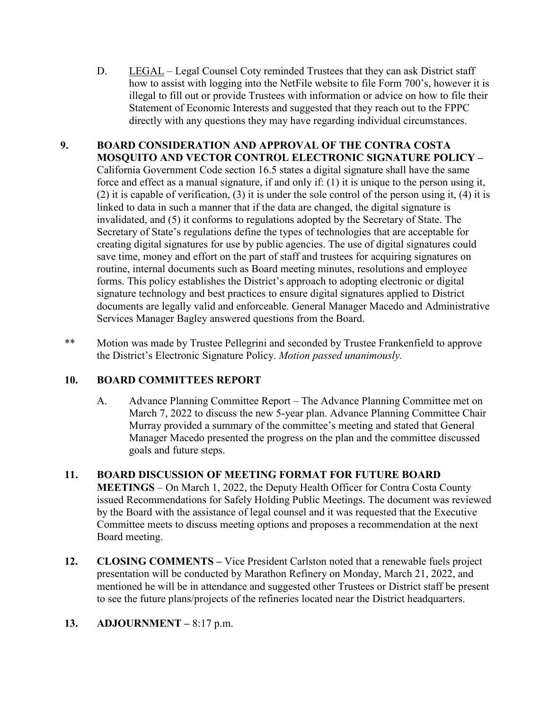D. LEGAL – Legal Counsel Coty reminded Trustees that they can ask District staff how to assist with logging into the NetFile website to file Form 700's, however it is illegal to fill out or provide Trustees with information or advice on how to file their Statement of Economic Interests and suggested that they reach out to the FPPC directly with any questions they may have regarding individual circumstances.

### **9. BOARD CONSIDERATION AND APPROVAL OF THE CONTRA COSTA MOSQUITO AND VECTOR CONTROL ELECTRONIC SIGNATURE POLICY –**  California Government Code section 16.5 states a digital signature shall have the same force and effect as a manual signature, if and only if: (1) it is unique to the person using it, (2) it is capable of verification, (3) it is under the sole control of the person using it, (4) it is linked to data in such a manner that if the data are changed, the digital signature is invalidated, and (5) it conforms to regulations adopted by the Secretary of State. The Secretary of State's regulations define the types of technologies that are acceptable for creating digital signatures for use by public agencies. The use of digital signatures could save time, money and effort on the part of staff and trustees for acquiring signatures on routine, internal documents such as Board meeting minutes, resolutions and employee forms. This policy establishes the District's approach to adopting electronic or digital signature technology and best practices to ensure digital signatures applied to District documents are legally valid and enforceable. General Manager Macedo and Administrative Services Manager Bagley answered questions from the Board.

\*\* Motion was made by Trustee Pellegrini and seconded by Trustee Frankenfield to approve the District's Electronic Signature Policy. *Motion passed unanimously.*

### **10. BOARD COMMITTEES REPORT**

A. Advance Planning Committee Report – The Advance Planning Committee met on March 7, 2022 to discuss the new 5-year plan. Advance Planning Committee Chair Murray provided a summary of the committee's meeting and stated that General Manager Macedo presented the progress on the plan and the committee discussed goals and future steps.

### **11. BOARD DISCUSSION OF MEETING FORMAT FOR FUTURE BOARD**

**MEETINGS** – On March 1, 2022, the Deputy Health Officer for Contra Costa County issued Recommendations for Safely Holding Public Meetings. The document was reviewed by the Board with the assistance of legal counsel and it was requested that the Executive Committee meets to discuss meeting options and proposes a recommendation at the next Board meeting.

**12. CLOSING COMMENTS –** Vice President Carlston noted that a renewable fuels project presentation will be conducted by Marathon Refinery on Monday, March 21, 2022, and mentioned he will be in attendance and suggested other Trustees or District staff be present to see the future plans/projects of the refineries located near the District headquarters.

### **13. ADJOURNMENT –** 8:17 p.m.